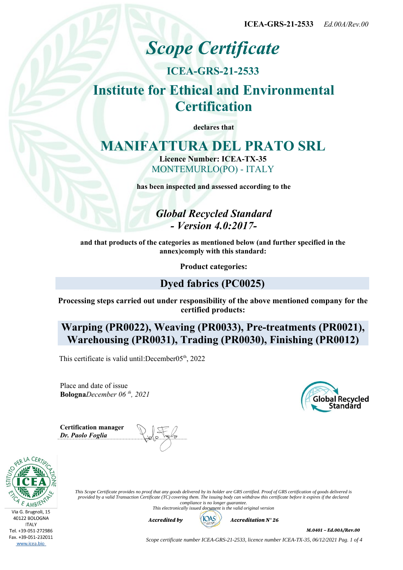**ICEA-GRS-21-2533** *Ed.00A/Rev.00*

# *Scope Certificate*

### **ICEA-GRS-21-2533**

# **Institute for Ethical and Environmental Certification**

**declares that**

## **MANIFATTURA DEL PRATO SRL**

**Licence Number: ICEA-TX-35** MONTEMURLO(PO) - ITALY

**has been inspected and assessed according to the**

*Global Recycled Standard - Version 4.0:2017-*

**and that products of the categories as mentioned below (and further specified in the annex)comply with this standard:**

**Product categories:**

#### **Dyed fabrics (PC0025)**

**Processing steps carried out under responsibility of the above mentioned company for the certified products:**

**Warping (PR0022), Weaving (PR0033), Pre-treatments (PR0021), Warehousing (PR0031), Trading (PR0030), Finishing (PR0012)**

This certificate is valid until: December $05<sup>th</sup>$ , 2022

Place and date of issue **Bologna***December 06 th, 2021* Global Recycled

**Certification manager** *Dr. Paolo Foglia*



*This Scope Certificate provides no proof that any goods delivered by its holder are GRS certified. Proof of GRS certification of goods delivered is provided by a valid Transaction Certificate (TC) covering them. The issuing body can withdraw this certificate before it expires if the declared compliance is no longer guarantee. This electronically issued document is the valid original version*

*Accredited by Accreditation N° 26*



*M.0401 – Ed.00A/Rev.00*

*Scope certificate number ICEA-GRS-21-2533, licence number ICEA-TX-35, 06/12/2021 Pag. 1 of 4*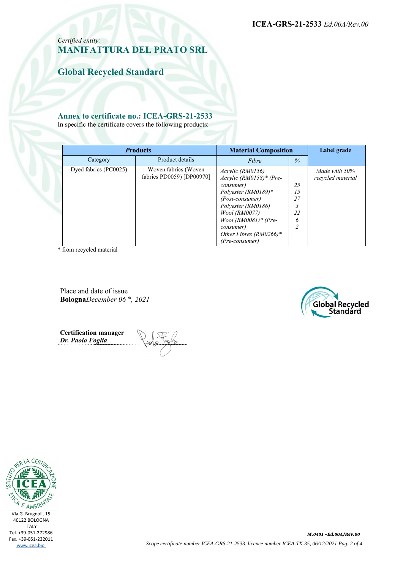**ICEA-GRS-21-2533** *Ed.00A/Rev.00*

*Certified entity:* **MANIFATTURA DEL PRATO SRL**

**Global Recycled Standard**

#### **Annex to certificate no.: ICEA-GRS-21-2533**

In specific the certificate covers the following products:

| <b>Products</b>       |                                                   | <b>Material Composition</b>                                                                                                                                                                                                                     |                                | Label grade                        |
|-----------------------|---------------------------------------------------|-------------------------------------------------------------------------------------------------------------------------------------------------------------------------------------------------------------------------------------------------|--------------------------------|------------------------------------|
| Category              | Product details                                   | Fibre                                                                                                                                                                                                                                           | $\%$                           |                                    |
| Dyed fabrics (PC0025) | Woven fabrics (Woven<br>fabrics PD0059) [DP00970] | Acrylic (RM0156)<br>$Acrylic (RM0158)* (Pre-$<br><i>consumer</i> )<br>Polyester (RM0189)*<br>(Post-consumer)<br>Polyester (RM0186)<br><i>Wool (RM0077)</i><br>$Wood (RM0081)* (Pre-$<br>consumer)<br>Other Fibres $(RM0266)*$<br>(Pre-consumer) | 25<br>15<br>27<br>22<br>6<br>∍ | Made with 50%<br>recycled material |

\* from recycled material

Place and date of issue **Bologna***December 06 th, 2021*



**Certification manager** *Dr. Paolo Foglia*

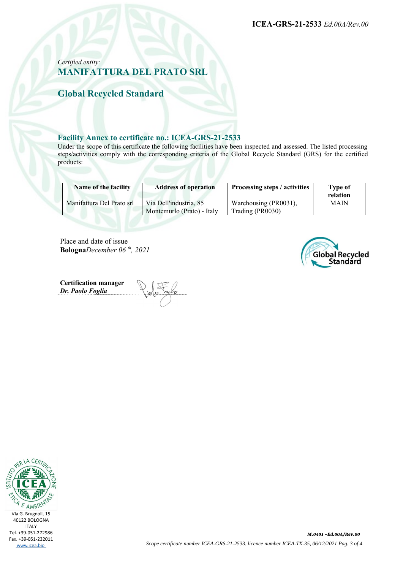**ICEA-GRS-21-2533** *Ed.00A/Rev.00*

#### *Certified entity:* **MANIFATTURA DEL PRATO SRL**

**Global Recycled Standard**

#### **Facility Annex to certificate no.: ICEA-GRS-21-2533**

Under the scope of this certificate the following facilities have been inspected and assessed. The listed processing steps/activities comply with the corresponding criteria of the Global Recycle Standard (GRS) for the certified products:

| Name of the facility      | <b>Address of operation</b>                          | Processing steps / activities             | <b>Type of</b><br>relation |
|---------------------------|------------------------------------------------------|-------------------------------------------|----------------------------|
| Manifattura Del Prato srl | Via Dell'industria, 85<br>Montemurlo (Prato) - Italy | Warehousing (PR0031),<br>Trading (PR0030) | <b>MAIN</b>                |

Place and date of issue **Bologna***December 06 th, 2021*



**Certification manager** *Dr. Paolo Foglia*